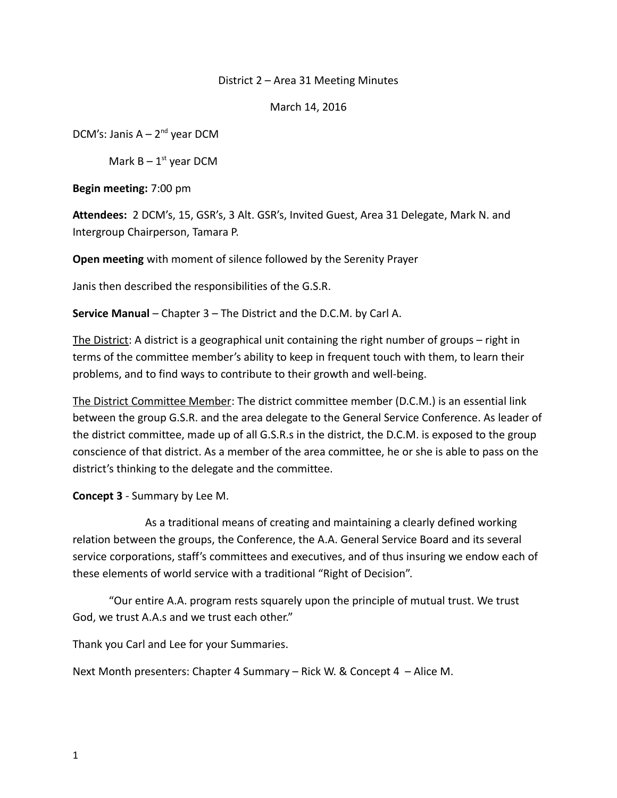# District 2 – Area 31 Meeting Minutes

March 14, 2016

DCM's: Janis  $A - 2^{nd}$  year DCM

Mark  $B - 1<sup>st</sup>$  year DCM

**Begin meeting:** 7:00 pm

**Attendees:** 2 DCM's, 15, GSR's, 3 Alt. GSR's, Invited Guest, Area 31 Delegate, Mark N. and Intergroup Chairperson, Tamara P.

**Open meeting** with moment of silence followed by the Serenity Prayer

Janis then described the responsibilities of the G.S.R.

**Service Manual** – Chapter 3 – The District and the D.C.M. by Carl A.

The District: A district is a geographical unit containing the right number of groups – right in terms of the committee member's ability to keep in frequent touch with them, to learn their problems, and to find ways to contribute to their growth and well-being.

The District Committee Member: The district committee member (D.C.M.) is an essential link between the group G.S.R. and the area delegate to the General Service Conference. As leader of the district committee, made up of all G.S.R.s in the district, the D.C.M. is exposed to the group conscience of that district. As a member of the area committee, he or she is able to pass on the district's thinking to the delegate and the committee.

**Concept 3** - Summary by Lee M.

As a traditional means of creating and maintaining a clearly defined working relation between the groups, the Conference, the A.A. General Service Board and its several service corporations, staff's committees and executives, and of thus insuring we endow each of these elements of world service with a traditional "Right of Decision".

"Our entire A.A. program rests squarely upon the principle of mutual trust. We trust God, we trust A.A.s and we trust each other."

Thank you Carl and Lee for your Summaries.

Next Month presenters: Chapter 4 Summary – Rick W. & Concept 4 – Alice M.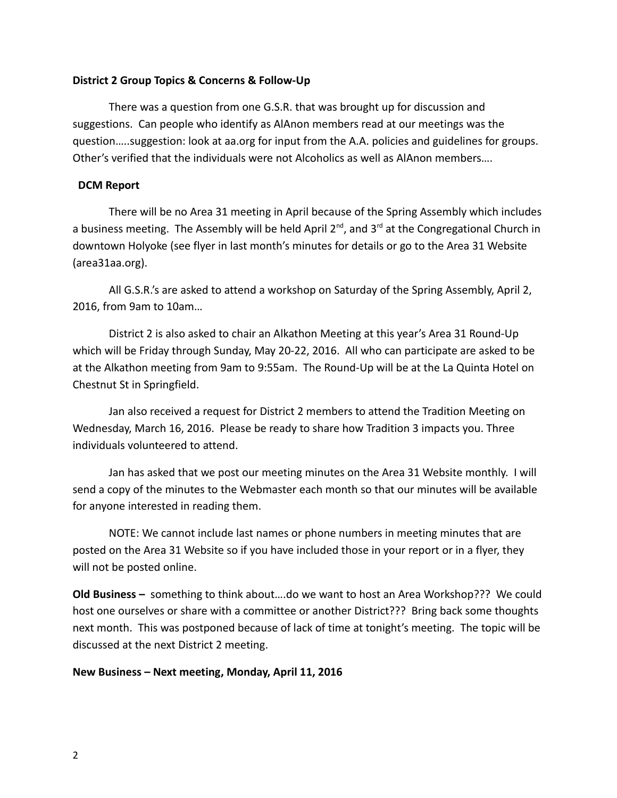# **District 2 Group Topics & Concerns & Follow-Up**

There was a question from one G.S.R. that was brought up for discussion and suggestions. Can people who identify as AlAnon members read at our meetings was the question…..suggestion: look at aa.org for input from the A.A. policies and guidelines for groups. Other's verified that the individuals were not Alcoholics as well as AlAnon members….

# **DCM Report**

There will be no Area 31 meeting in April because of the Spring Assembly which includes a business meeting. The Assembly will be held April  $2^{nd}$ , and  $3^{rd}$  at the Congregational Church in downtown Holyoke (see flyer in last month's minutes for details or go to the Area 31 Website (area31aa.org).

All G.S.R.'s are asked to attend a workshop on Saturday of the Spring Assembly, April 2, 2016, from 9am to 10am…

District 2 is also asked to chair an Alkathon Meeting at this year's Area 31 Round-Up which will be Friday through Sunday, May 20-22, 2016. All who can participate are asked to be at the Alkathon meeting from 9am to 9:55am. The Round-Up will be at the La Quinta Hotel on Chestnut St in Springfield.

Jan also received a request for District 2 members to attend the Tradition Meeting on Wednesday, March 16, 2016. Please be ready to share how Tradition 3 impacts you. Three individuals volunteered to attend.

Jan has asked that we post our meeting minutes on the Area 31 Website monthly. I will send a copy of the minutes to the Webmaster each month so that our minutes will be available for anyone interested in reading them.

NOTE: We cannot include last names or phone numbers in meeting minutes that are posted on the Area 31 Website so if you have included those in your report or in a flyer, they will not be posted online.

**Old Business –** something to think about….do we want to host an Area Workshop??? We could host one ourselves or share with a committee or another District??? Bring back some thoughts next month. This was postponed because of lack of time at tonight's meeting. The topic will be discussed at the next District 2 meeting.

#### **New Business – Next meeting, Monday, April 11, 2016**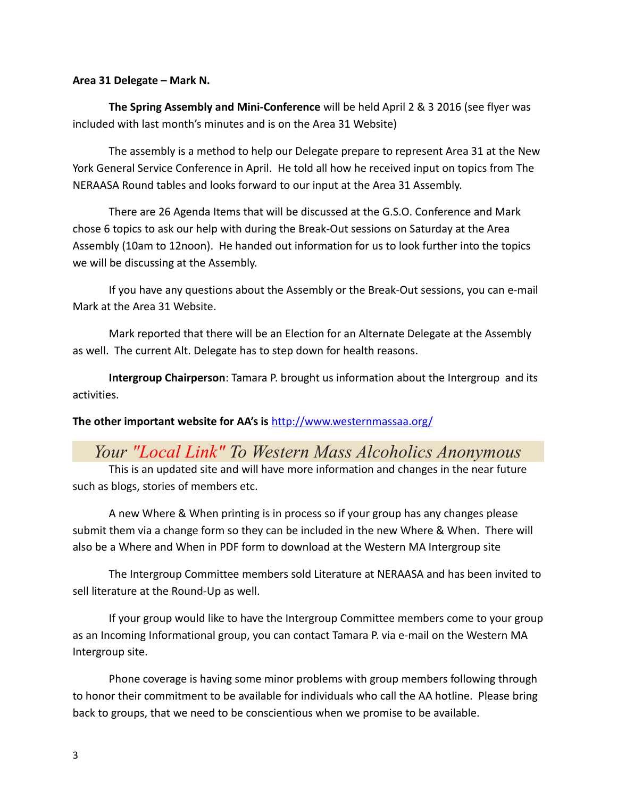# **Area 31 Delegate – Mark N.**

**The Spring Assembly and Mini-Conference** will be held April 2 & 3 2016 (see flyer was included with last month's minutes and is on the Area 31 Website)

The assembly is a method to help our Delegate prepare to represent Area 31 at the New York General Service Conference in April. He told all how he received input on topics from The NERAASA Round tables and looks forward to our input at the Area 31 Assembly.

There are 26 Agenda Items that will be discussed at the G.S.O. Conference and Mark chose 6 topics to ask our help with during the Break-Out sessions on Saturday at the Area Assembly (10am to 12noon). He handed out information for us to look further into the topics we will be discussing at the Assembly.

If you have any questions about the Assembly or the Break-Out sessions, you can e-mail Mark at the Area 31 Website.

Mark reported that there will be an Election for an Alternate Delegate at the Assembly as well. The current Alt. Delegate has to step down for health reasons.

**Intergroup Chairperson**: Tamara P. brought us information about the Intergroup and its activities.

**The other important website for AA's is** <http://www.westernmassaa.org/>

# *Your "Local Link" To Western Mass Alcoholics Anonymous*

This is an updated site and will have more information and changes in the near future such as blogs, stories of members etc.

A new Where & When printing is in process so if your group has any changes please submit them via a change form so they can be included in the new Where & When. There will also be a Where and When in PDF form to download at the Western MA Intergroup site

The Intergroup Committee members sold Literature at NERAASA and has been invited to sell literature at the Round-Up as well.

If your group would like to have the Intergroup Committee members come to your group as an Incoming Informational group, you can contact Tamara P. via e-mail on the Western MA Intergroup site.

Phone coverage is having some minor problems with group members following through to honor their commitment to be available for individuals who call the AA hotline. Please bring back to groups, that we need to be conscientious when we promise to be available.